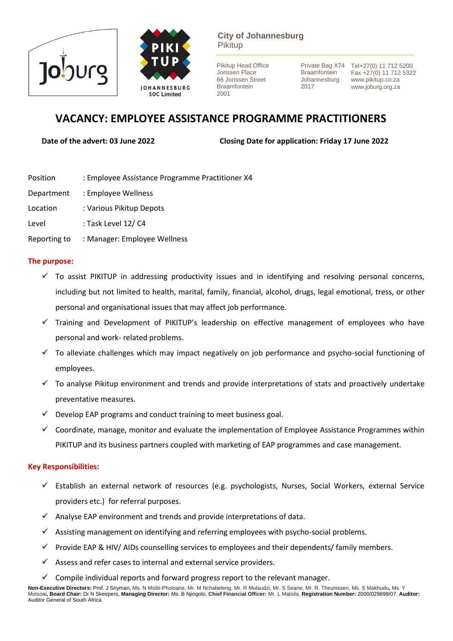



**City of Johannesburg Pikitup** 

Pikitup Head Office Jorissen Place 66 Jorissen Street Braamfontein 2001

**Braamfontein** Johannesburg 2017

Private Bag X74 Tel+27(0) 11 712 5200 Fax +27(0) 11 712 5322 www.pikitup.co.za www.joburg.org.za

# **VACANCY: EMPLOYEE ASSISTANCE PROGRAMME PRACTITIONERS**

**Date of the advert: 03 June 2022 Closing Date for application: Friday 17 June 2022** 

- Position : Employee Assistance Programme Practitioner X4
- Department : Employee Wellness
- Location : Various Pikitup Depots
- Level : Task Level 12/ C4
- Reporting to : Manager: Employee Wellness

### **The purpose:**

- $\checkmark$  To assist PIKITUP in addressing productivity issues and in identifying and resolving personal concerns, including but not limited to health, marital, family, financial, alcohol, drugs, legal emotional, tress, or other personal and organisational issues that may affect job performance.
- $\checkmark$  Training and Development of PIKITUP's leadership on effective management of employees who have personal and work- related problems.
- $\checkmark$  To alleviate challenges which may impact negatively on job performance and psycho-social functioning of employees.
- $\checkmark$  To analyse Pikitup environment and trends and provide interpretations of stats and proactively undertake preventative measures.
- $\checkmark$  Develop EAP programs and conduct training to meet business goal.
- $\checkmark$  Coordinate, manage, monitor and evaluate the implementation of Employee Assistance Programmes within PIKITUP and its business partners coupled with marketing of EAP programmes and case management.

#### **Key Responsibilities:**

- $\checkmark$  Establish an external network of resources (e.g. psychologists, Nurses, Social Workers, external Service providers etc.) for referral purposes.
- $\checkmark$  Analyse EAP environment and trends and provide interpretations of data.
- $\checkmark$  Assisting management on identifying and referring employees with psycho-social problems.
- $\checkmark$  Provide EAP & HIV/ AIDs counselling services to employees and their dependents/ family members.
- $\checkmark$  Assess and refer cases to internal and external service providers.
- $\checkmark$  Compile individual reports and forward progress report to the relevant manager.

**Non-Executive Directors:** Prof. J Snyman, Ms. N Msibi-Pholoane, Mr. M Nchabeleng, Mr. R Mulaudzi, Mr. S Seane, Mr. R. Theunissen, Ms. S Makhudu**,** Ms. Y Motsoai**, Board Chair:** Dr N Skeepers, **Managing Director:** Ms. B Njingolo, **Chief Financial Officer:** Mr. L Matsila. **Registration Number:** 2000/029899/07. **Auditor:** Auditor General of South Africa